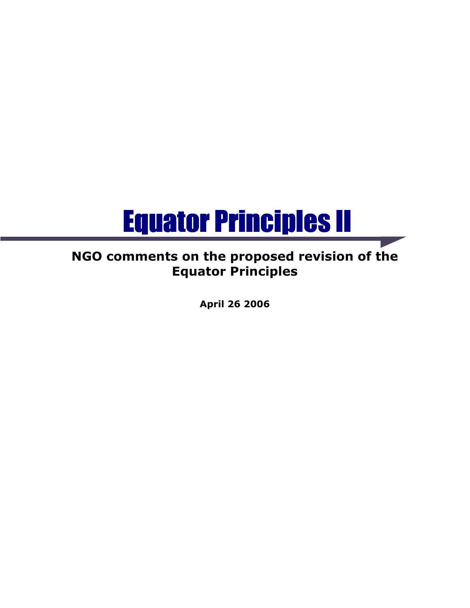# Equator Principles II Equator Principles II

# NGO comments on the proposed revision of the Equator Principles

April 26 2006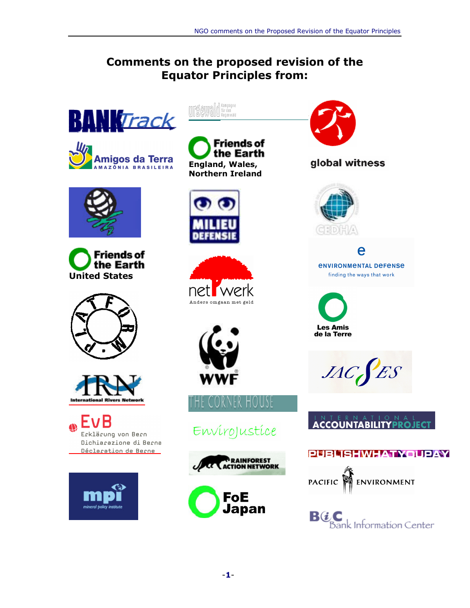### Comments on the proposed revision of the Equator Principles from:



















**Friends of** the Earth England, Wales, Northern Ireland









# Envirojustice





### global witness



e *ENVIRONMENTAL DEFENSE* finding the ways that work

**Les Amis** de la Terre

 $JAC$  $ES$ 

## **ACCOUNTABILITYPROJECT**

### **PUBLISHWHATYOUPAY**



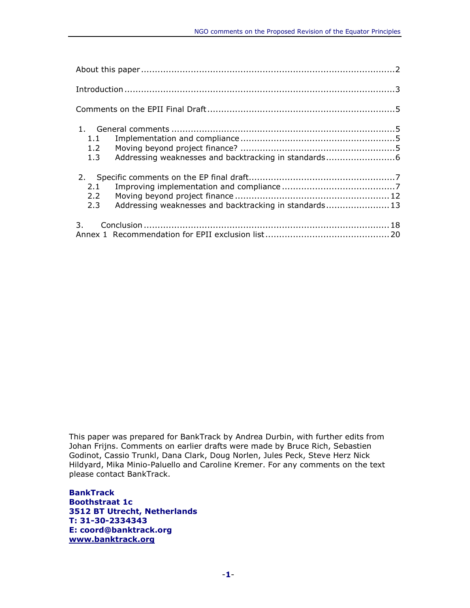| 1.1                                                           |  |
|---------------------------------------------------------------|--|
| 1.2                                                           |  |
|                                                               |  |
|                                                               |  |
| 2.1                                                           |  |
| 2.2                                                           |  |
| Addressing weaknesses and backtracking in standards 13<br>2.3 |  |
|                                                               |  |
|                                                               |  |

This paper was prepared for BankTrack by Andrea Durbin, with further edits from Johan Frijns. Comments on earlier drafts were made by Bruce Rich, Sebastien Godinot, Cassio Trunkl, Dana Clark, Doug Norlen, Jules Peck, Steve Herz Nick Hildyard, Mika Minio-Paluello and Caroline Kremer. For any comments on the text please contact BankTrack.

BankTrack Boothstraat 1c 3512 BT Utrecht, Netherlands T: 31-30-2334343 E: coord@banktrack.org www.banktrack.org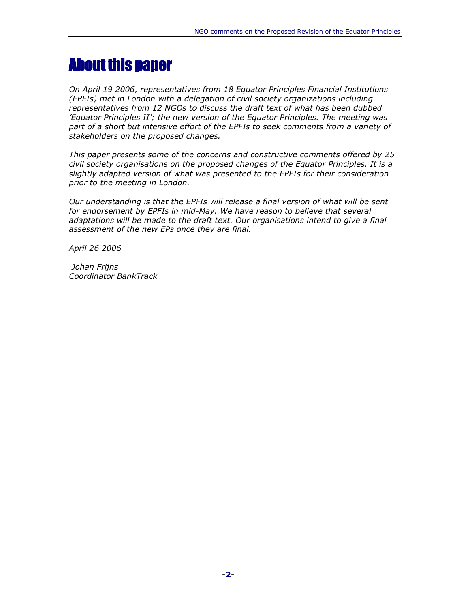# About this paper

On April 19 2006, representatives from 18 Equator Principles Financial Institutions (EPFIs) met in London with a delegation of civil society organizations including representatives from 12 NGOs to discuss the draft text of what has been dubbed 'Equator Principles II'; the new version of the Equator Principles. The meeting was part of a short but intensive effort of the EPFIs to seek comments from a variety of stakeholders on the proposed changes.

This paper presents some of the concerns and constructive comments offered by 25 civil society organisations on the proposed changes of the Equator Principles. It is a slightly adapted version of what was presented to the EPFIs for their consideration prior to the meeting in London.

Our understanding is that the EPFIs will release a final version of what will be sent for endorsement by EPFIs in mid-May. We have reason to believe that several adaptations will be made to the draft text. Our organisations intend to give a final assessment of the new EPs once they are final.

April 26 2006

 Johan Frijns Coordinator BankTrack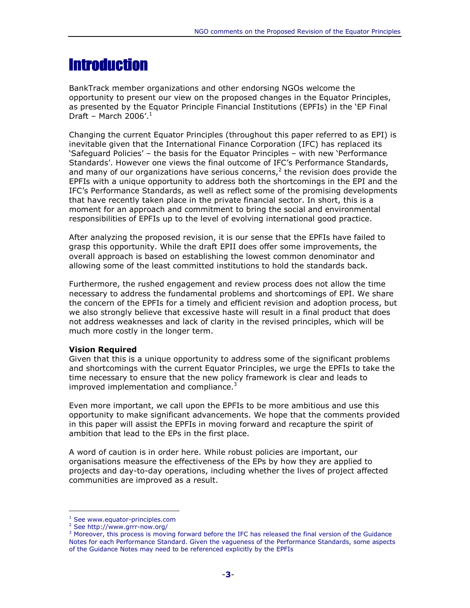# **Introduction**

BankTrack member organizations and other endorsing NGOs welcome the opportunity to present our view on the proposed changes in the Equator Principles, as presented by the Equator Principle Financial Institutions (EPFIs) in the 'EP Final Draft – March 2006'. $1$ 

Changing the current Equator Principles (throughout this paper referred to as EPI) is inevitable given that the International Finance Corporation (IFC) has replaced its 'Safeguard Policies' – the basis for the Equator Principles – with new 'Performance Standards'. However one views the final outcome of IFC's Performance Standards, and many of our organizations have serious concerns,<sup>2</sup> the revision does provide the EPFIs with a unique opportunity to address both the shortcomings in the EPI and the IFC's Performance Standards, as well as reflect some of the promising developments that have recently taken place in the private financial sector. In short, this is a moment for an approach and commitment to bring the social and environmental responsibilities of EPFIs up to the level of evolving international good practice.

After analyzing the proposed revision, it is our sense that the EPFIs have failed to grasp this opportunity. While the draft EPII does offer some improvements, the overall approach is based on establishing the lowest common denominator and allowing some of the least committed institutions to hold the standards back.

Furthermore, the rushed engagement and review process does not allow the time necessary to address the fundamental problems and shortcomings of EPI. We share the concern of the EPFIs for a timely and efficient revision and adoption process, but we also strongly believe that excessive haste will result in a final product that does not address weaknesses and lack of clarity in the revised principles, which will be much more costly in the longer term.

#### Vision Required

Given that this is a unique opportunity to address some of the significant problems and shortcomings with the current Equator Principles, we urge the EPFIs to take the time necessary to ensure that the new policy framework is clear and leads to improved implementation and compliance. $3$ 

Even more important, we call upon the EPFIs to be more ambitious and use this opportunity to make significant advancements. We hope that the comments provided in this paper will assist the EPFIs in moving forward and recapture the spirit of ambition that lead to the EPs in the first place.

A word of caution is in order here. While robust policies are important, our organisations measure the effectiveness of the EPs by how they are applied to projects and day-to-day operations, including whether the lives of project affected communities are improved as a result.

<sup>1</sup> See www.equator-principles.com

<sup>&</sup>lt;sup>2</sup> See http://www.grrr-now.org/

<sup>&</sup>lt;sup>3</sup> Moreover, this process is moving forward before the IFC has released the final version of the Guidance Notes for each Performance Standard. Given the vagueness of the Performance Standards, some aspects of the Guidance Notes may need to be referenced explicitly by the EPFIs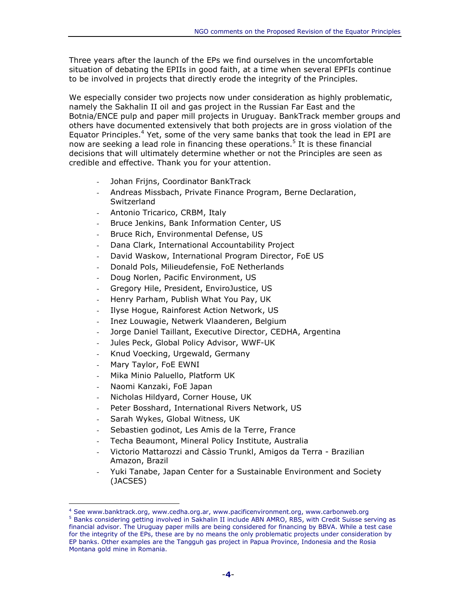Three years after the launch of the EPs we find ourselves in the uncomfortable situation of debating the EPIIs in good faith, at a time when several EPFIs continue to be involved in projects that directly erode the integrity of the Principles.

We especially consider two projects now under consideration as highly problematic, namely the Sakhalin II oil and gas project in the Russian Far East and the Botnia/ENCE pulp and paper mill projects in Uruguay. BankTrack member groups and others have documented extensively that both projects are in gross violation of the Equator Principles.<sup>4</sup> Yet, some of the very same banks that took the lead in EPI are now are seeking a lead role in financing these operations.<sup>5</sup> It is these financial decisions that will ultimately determine whether or not the Principles are seen as credible and effective. Thank you for your attention.

- Johan Frijns, Coordinator BankTrack
- Andreas Missbach, Private Finance Program, Berne Declaration, Switzerland
- Antonio Tricarico, CRBM, Italy
- Bruce Jenkins, Bank Information Center, US
- Bruce Rich, Environmental Defense, US
- Dana Clark, International Accountability Project
- David Waskow, International Program Director, FoE US
- Donald Pols, Milieudefensie, FoE Netherlands
- Doug Norlen, Pacific Environment, US
- Gregory Hile, President, EnviroJustice, US
- Henry Parham, Publish What You Pay, UK
- Ilyse Hogue, Rainforest Action Network, US
- Inez Louwagie, Netwerk Vlaanderen, Belgium
- Jorge Daniel Taillant, Executive Director, CEDHA, Argentina
- Jules Peck, Global Policy Advisor, WWF-UK
- Knud Voecking, Urgewald, Germany
- Mary Taylor, FoE EWNI

- Mika Minio Paluello, Platform UK
- Naomi Kanzaki, FoE Japan
- Nicholas Hildyard, Corner House, UK
- Peter Bosshard, International Rivers Network, US
- Sarah Wykes, Global Witness, UK
- Sebastien godinot, Les Amis de la Terre, France
- Techa Beaumont, Mineral Policy Institute, Australia
- Victorio Mattarozzi and Càssio Trunkl, Amigos da Terra Brazilian Amazon, Brazil
- Yuki Tanabe, Japan Center for a Sustainable Environment and Society (JACSES)

<sup>4</sup> See www.banktrack.org, www.cedha.org.ar, www.pacificenvironment.org, www.carbonweb.org <sup>5</sup> Banks considering getting involved in Sakhalin II include ABN AMRO, RBS, with Credit Suisse serving as financial advisor. The Uruguay paper mills are being considered for financing by BBVA. While a test case for the integrity of the EPs, these are by no means the only problematic projects under consideration by EP banks. Other examples are the Tangguh gas project in Papua Province, Indonesia and the Rosia Montana gold mine in Romania.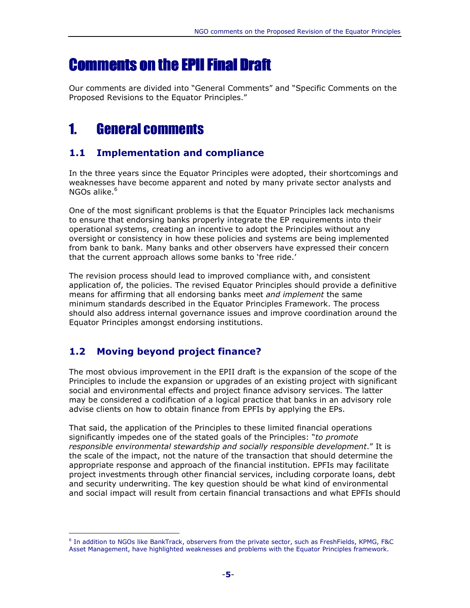# Comments on the EPII Final Draft

Our comments are divided into "General Comments" and "Specific Comments on the Proposed Revisions to the Equator Principles."

# 1. General comments

### 1.1 Implementation and compliance

In the three years since the Equator Principles were adopted, their shortcomings and weaknesses have become apparent and noted by many private sector analysts and NGOs alike. $6$ 

One of the most significant problems is that the Equator Principles lack mechanisms to ensure that endorsing banks properly integrate the EP requirements into their operational systems, creating an incentive to adopt the Principles without any oversight or consistency in how these policies and systems are being implemented from bank to bank. Many banks and other observers have expressed their concern that the current approach allows some banks to 'free ride.'

The revision process should lead to improved compliance with, and consistent application of, the policies. The revised Equator Principles should provide a definitive means for affirming that all endorsing banks meet and implement the same minimum standards described in the Equator Principles Framework. The process should also address internal governance issues and improve coordination around the Equator Principles amongst endorsing institutions.

### 1.2 Moving beyond project finance?

l.

The most obvious improvement in the EPII draft is the expansion of the scope of the Principles to include the expansion or upgrades of an existing project with significant social and environmental effects and project finance advisory services. The latter may be considered a codification of a logical practice that banks in an advisory role advise clients on how to obtain finance from EPFIs by applying the EPs.

That said, the application of the Principles to these limited financial operations significantly impedes one of the stated goals of the Principles: "to promote responsible environmental stewardship and socially responsible development." It is the scale of the impact, not the nature of the transaction that should determine the appropriate response and approach of the financial institution. EPFIs may facilitate project investments through other financial services, including corporate loans, debt and security underwriting. The key question should be what kind of environmental and social impact will result from certain financial transactions and what EPFIs should

<sup>6</sup> In addition to NGOs like BankTrack, observers from the private sector, such as FreshFields, KPMG, F&C Asset Management, have highlighted weaknesses and problems with the Equator Principles framework.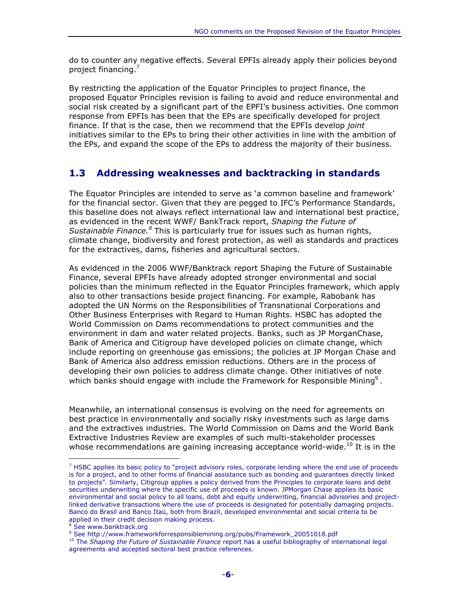do to counter any negative effects. Several EPFIs already apply their policies beyond project financing.<sup>7</sup>

By restricting the application of the Equator Principles to project finance, the proposed Equator Principles revision is failing to avoid and reduce environmental and social risk created by a significant part of the EPFI's business activities. One common response from EPFIs has been that the EPs are specifically developed for project finance. If that is the case, then we recommend that the EPFIs develop *joint* initiatives similar to the EPs to bring their other activities in line with the ambition of the EPs, and expand the scope of the EPs to address the majority of their business.

### 1.3 Addressing weaknesses and backtracking in standards

The Equator Principles are intended to serve as 'a common baseline and framework' for the financial sector. Given that they are pegged to IFC's Performance Standards, this baseline does not always reflect international law and international best practice, as evidenced in the recent WWF/ BankTrack report, Shaping the Future of Sustainable Finance.<sup>8</sup> This is particularly true for issues such as human rights, climate change, biodiversity and forest protection, as well as standards and practices for the extractives, dams, fisheries and agricultural sectors.

As evidenced in the 2006 WWF/Banktrack report Shaping the Future of Sustainable Finance, several EPFIs have already adopted stronger environmental and social policies than the minimum reflected in the Equator Principles framework, which apply also to other transactions beside project financing. For example, Rabobank has adopted the UN Norms on the Responsibilities of Transnational Corporations and Other Business Enterprises with Regard to Human Rights. HSBC has adopted the World Commission on Dams recommendations to protect communities and the environment in dam and water related projects. Banks, such as JP MorganChase, Bank of America and Citigroup have developed policies on climate change, which include reporting on greenhouse gas emissions; the policies at JP Morgan Chase and Bank of America also address emission reductions. Others are in the process of developing their own policies to address climate change. Other initiatives of note which banks should engage with include the Framework for Responsible Mining<sup>9</sup>.

Meanwhile, an international consensus is evolving on the need for agreements on best practice in environmentally and socially risky investments such as large dams and the extractives industries. The World Commission on Dams and the World Bank Extractive Industries Review are examples of such multi-stakeholder processes whose recommendations are gaining increasing acceptance world-wide.<sup>10</sup> It is in the

L

 $<sup>7</sup>$  HSBC applies its basic policy to "project advisory roles, corporate lending where the end use of proceeds</sup> is for a project, and to other forms of financial assistance such as bonding and guarantees directly linked to projects". Similarly, Citigroup applies a policy derived from the Principles to corporate loans and debt securities underwriting where the specific use of proceeds is known. JPMorgan Chase applies its basic environmental and social policy to all loans, debt and equity underwriting, financial advisories and projectlinked derivative transactions where the use of proceeds is designated for potentially damaging projects. Banco do Brasil and Banco Itaú, both from Brazil, developed environmental and social criteria to be applied in their credit decision making process.

<sup>8</sup> See www.banktrack.org

<sup>9</sup> See http://www.frameworkforresponsiblemining.org/pubs/Framework\_20051018.pdf

<sup>&</sup>lt;sup>10</sup> The Shaping the Future of Sustainable Finance report has a useful bibliography of international legal agreements and accepted sectoral best practice references.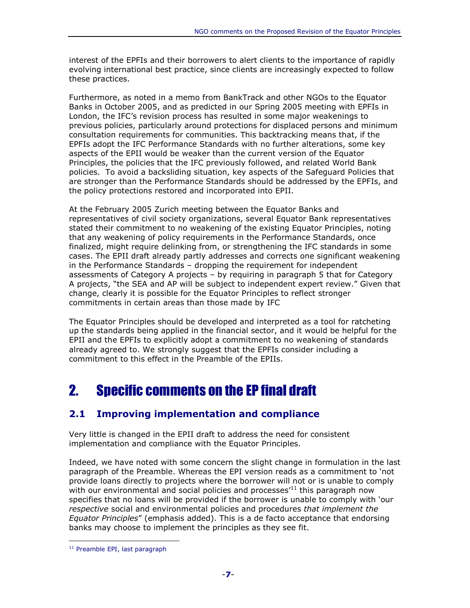interest of the EPFIs and their borrowers to alert clients to the importance of rapidly evolving international best practice, since clients are increasingly expected to follow these practices.

Furthermore, as noted in a memo from BankTrack and other NGOs to the Equator Banks in October 2005, and as predicted in our Spring 2005 meeting with EPFIs in London, the IFC's revision process has resulted in some major weakenings to previous policies, particularly around protections for displaced persons and minimum consultation requirements for communities. This backtracking means that, if the EPFIs adopt the IFC Performance Standards with no further alterations, some key aspects of the EPII would be weaker than the current version of the Equator Principles, the policies that the IFC previously followed, and related World Bank policies. To avoid a backsliding situation, key aspects of the Safeguard Policies that are stronger than the Performance Standards should be addressed by the EPFIs, and the policy protections restored and incorporated into EPII.

At the February 2005 Zurich meeting between the Equator Banks and representatives of civil society organizations, several Equator Bank representatives stated their commitment to no weakening of the existing Equator Principles, noting that any weakening of policy requirements in the Performance Standards, once finalized, might require delinking from, or strengthening the IFC standards in some cases. The EPII draft already partly addresses and corrects one significant weakening in the Performance Standards – dropping the requirement for independent assessments of Category A projects – by requiring in paragraph 5 that for Category A projects, "the SEA and AP will be subject to independent expert review." Given that change, clearly it is possible for the Equator Principles to reflect stronger commitments in certain areas than those made by IFC

The Equator Principles should be developed and interpreted as a tool for ratcheting up the standards being applied in the financial sector, and it would be helpful for the EPII and the EPFIs to explicitly adopt a commitment to no weakening of standards already agreed to. We strongly suggest that the EPFIs consider including a commitment to this effect in the Preamble of the EPIIs.

# 2. Specific comments on the EP final draft

### 2.1 Improving implementation and compliance

Very little is changed in the EPII draft to address the need for consistent implementation and compliance with the Equator Principles.

Indeed, we have noted with some concern the slight change in formulation in the last paragraph of the Preamble. Whereas the EPI version reads as a commitment to 'not provide loans directly to projects where the borrower will not or is unable to comply with our environmental and social policies and processes<sup> $11$ </sup> this paragraph now specifies that no loans will be provided if the borrower is unable to comply with 'our respective social and environmental policies and procedures that implement the Equator Principles" (emphasis added). This is a de facto acceptance that endorsing banks may choose to implement the principles as they see fit.

<sup>&</sup>lt;sup>11</sup> Preamble EPI, last paragraph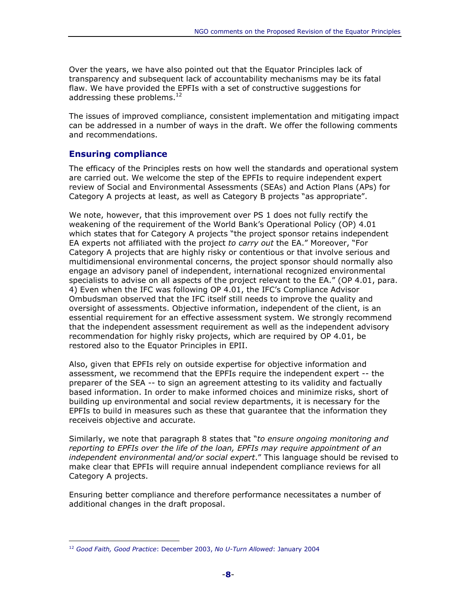Over the years, we have also pointed out that the Equator Principles lack of transparency and subsequent lack of accountability mechanisms may be its fatal flaw. We have provided the EPFIs with a set of constructive suggestions for addressing these problems.<sup>12</sup>

The issues of improved compliance, consistent implementation and mitigating impact can be addressed in a number of ways in the draft. We offer the following comments and recommendations.

#### Ensuring compliance

l.

The efficacy of the Principles rests on how well the standards and operational system are carried out. We welcome the step of the EPFIs to require independent expert review of Social and Environmental Assessments (SEAs) and Action Plans (APs) for Category A projects at least, as well as Category B projects "as appropriate".

We note, however, that this improvement over PS 1 does not fully rectify the weakening of the requirement of the World Bank's Operational Policy (OP) 4.01 which states that for Category A projects "the project sponsor retains independent EA experts not affiliated with the project to carry out the EA." Moreover, "For Category A projects that are highly risky or contentious or that involve serious and multidimensional environmental concerns, the project sponsor should normally also engage an advisory panel of independent, international recognized environmental specialists to advise on all aspects of the project relevant to the EA." (OP 4.01, para. 4) Even when the IFC was following OP 4.01, the IFC's Compliance Advisor Ombudsman observed that the IFC itself still needs to improve the quality and oversight of assessments. Objective information, independent of the client, is an essential requirement for an effective assessment system. We strongly recommend that the independent assessment requirement as well as the independent advisory recommendation for highly risky projects, which are required by OP 4.01, be restored also to the Equator Principles in EPII.

Also, given that EPFIs rely on outside expertise for objective information and assessment, we recommend that the EPFIs require the independent expert -- the preparer of the SEA -- to sign an agreement attesting to its validity and factually based information. In order to make informed choices and minimize risks, short of building up environmental and social review departments, it is necessary for the EPFIs to build in measures such as these that guarantee that the information they receiveis objective and accurate.

Similarly, we note that paragraph 8 states that "to ensure ongoing monitoring and reporting to EPFIs over the life of the loan, EPFIs may require appointment of an independent environmental and/or social expert." This language should be revised to make clear that EPFIs will require annual independent compliance reviews for all Category A projects.

Ensuring better compliance and therefore performance necessitates a number of additional changes in the draft proposal.

<sup>&</sup>lt;sup>12</sup> Good Faith, Good Practice: December 2003, No U-Turn Allowed: January 2004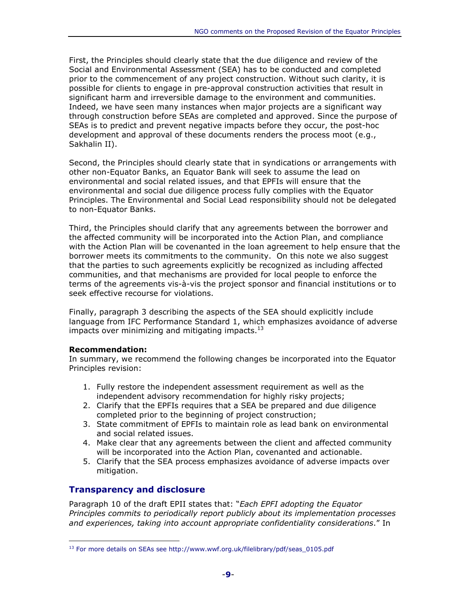First, the Principles should clearly state that the due diligence and review of the Social and Environmental Assessment (SEA) has to be conducted and completed prior to the commencement of any project construction. Without such clarity, it is possible for clients to engage in pre-approval construction activities that result in significant harm and irreversible damage to the environment and communities. Indeed, we have seen many instances when major projects are a significant way through construction before SEAs are completed and approved. Since the purpose of SEAs is to predict and prevent negative impacts before they occur, the post-hoc development and approval of these documents renders the process moot (e.g., Sakhalin II).

Second, the Principles should clearly state that in syndications or arrangements with other non-Equator Banks, an Equator Bank will seek to assume the lead on environmental and social related issues, and that EPFIs will ensure that the environmental and social due diligence process fully complies with the Equator Principles. The Environmental and Social Lead responsibility should not be delegated to non-Equator Banks.

Third, the Principles should clarify that any agreements between the borrower and the affected community will be incorporated into the Action Plan, and compliance with the Action Plan will be covenanted in the loan agreement to help ensure that the borrower meets its commitments to the community. On this note we also suggest that the parties to such agreements explicitly be recognized as including affected communities, and that mechanisms are provided for local people to enforce the terms of the agreements vis-à-vis the project sponsor and financial institutions or to seek effective recourse for violations.

Finally, paragraph 3 describing the aspects of the SEA should explicitly include language from IFC Performance Standard 1, which emphasizes avoidance of adverse impacts over minimizing and mitigating impacts. $13$ 

#### Recommendation:

l.

In summary, we recommend the following changes be incorporated into the Equator Principles revision:

- 1. Fully restore the independent assessment requirement as well as the independent advisory recommendation for highly risky projects;
- 2. Clarify that the EPFIs requires that a SEA be prepared and due diligence completed prior to the beginning of project construction;
- 3. State commitment of EPFIs to maintain role as lead bank on environmental and social related issues.
- 4. Make clear that any agreements between the client and affected community will be incorporated into the Action Plan, covenanted and actionable.
- 5. Clarify that the SEA process emphasizes avoidance of adverse impacts over mitigation.

#### Transparency and disclosure

Paragraph 10 of the draft EPII states that: "*Each EPFI adopting the Equator* Principles commits to periodically report publicly about its implementation processes and experiences, taking into account appropriate confidentiality considerations." In

 $13$  For more details on SEAs see http://www.wwf.org.uk/filelibrary/pdf/seas 0105.pdf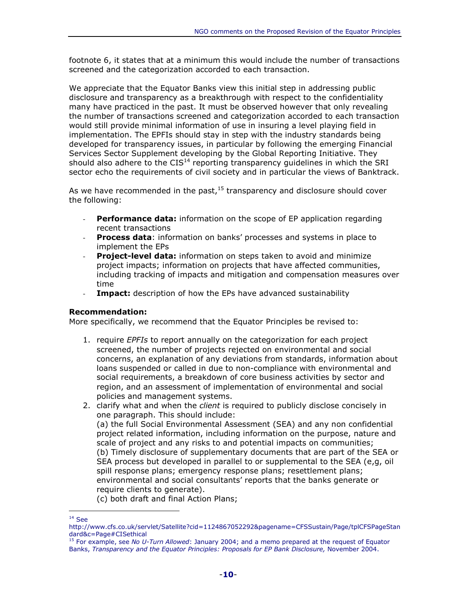footnote 6, it states that at a minimum this would include the number of transactions screened and the categorization accorded to each transaction.

We appreciate that the Equator Banks view this initial step in addressing public disclosure and transparency as a breakthrough with respect to the confidentiality many have practiced in the past. It must be observed however that only revealing the number of transactions screened and categorization accorded to each transaction would still provide minimal information of use in insuring a level playing field in implementation. The EPFIs should stay in step with the industry standards being developed for transparency issues, in particular by following the emerging Financial Services Sector Supplement developing by the Global Reporting Initiative. They should also adhere to the  $CIS<sup>14</sup>$  reporting transparency guidelines in which the SRI sector echo the requirements of civil society and in particular the views of Banktrack.

As we have recommended in the past,  $15$  transparency and disclosure should cover the following:

- **Performance data:** information on the scope of EP application regarding recent transactions
- Process data: information on banks' processes and systems in place to implement the EPs
- Project-level data: information on steps taken to avoid and minimize project impacts; information on projects that have affected communities, including tracking of impacts and mitigation and compensation measures over time
- **Impact:** description of how the EPs have advanced sustainability

#### Recommendation:

More specifically, we recommend that the Equator Principles be revised to:

- 1. require *EPFIs* to report annually on the categorization for each project screened, the number of projects rejected on environmental and social concerns, an explanation of any deviations from standards, information about loans suspended or called in due to non-compliance with environmental and social requirements, a breakdown of core business activities by sector and region, and an assessment of implementation of environmental and social policies and management systems.
- 2. clarify what and when the *client* is required to publicly disclose concisely in one paragraph. This should include: (a) the full Social Environmental Assessment (SEA) and any non confidential project related information, including information on the purpose, nature and scale of project and any risks to and potential impacts on communities; (b) Timely disclosure of supplementary documents that are part of the SEA or SEA process but developed in parallel to or supplemental to the SEA (e,g, oil spill response plans; emergency response plans; resettlement plans; environmental and social consultants' reports that the banks generate or require clients to generate).

(c) both draft and final Action Plans;

<sup>14</sup> See

http://www.cfs.co.uk/servlet/Satellite?cid=1124867052292&pagename=CFSSustain/Page/tplCFSPageStan dard&c=Page#CISethical

<sup>&</sup>lt;sup>15</sup> For example, see No U-Turn Allowed: January 2004; and a memo prepared at the request of Equator Banks, Transparency and the Equator Principles: Proposals for EP Bank Disclosure, November 2004.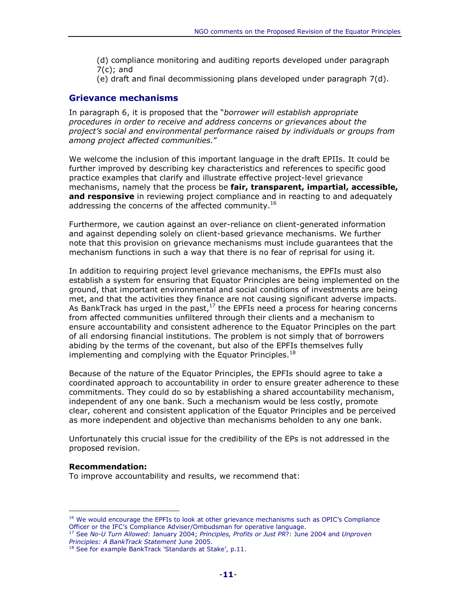- (d) compliance monitoring and auditing reports developed under paragraph 7(c); and
- (e) draft and final decommissioning plans developed under paragraph 7(d).

#### Grievance mechanisms

In paragraph 6, it is proposed that the "borrower will establish appropriate procedures in order to receive and address concerns or grievances about the project's social and environmental performance raised by individuals or groups from among project affected communities."

We welcome the inclusion of this important language in the draft EPIIs. It could be further improved by describing key characteristics and references to specific good practice examples that clarify and illustrate effective project-level grievance mechanisms, namely that the process be fair, transparent, impartial, accessible, and responsive in reviewing project compliance and in reacting to and adequately addressing the concerns of the affected community.<sup>16</sup>

Furthermore, we caution against an over-reliance on client-generated information and against depending solely on client-based grievance mechanisms. We further note that this provision on grievance mechanisms must include guarantees that the mechanism functions in such a way that there is no fear of reprisal for using it.

In addition to requiring project level grievance mechanisms, the EPFIs must also establish a system for ensuring that Equator Principles are being implemented on the ground, that important environmental and social conditions of investments are being met, and that the activities they finance are not causing significant adverse impacts. As BankTrack has urged in the past,  $17$  the EPFIs need a process for hearing concerns from affected communities unfiltered through their clients and a mechanism to ensure accountability and consistent adherence to the Equator Principles on the part of all endorsing financial institutions. The problem is not simply that of borrowers abiding by the terms of the covenant, but also of the EPFIs themselves fully implementing and complying with the Equator Principles.<sup>18</sup>

Because of the nature of the Equator Principles, the EPFIs should agree to take a coordinated approach to accountability in order to ensure greater adherence to these commitments. They could do so by establishing a shared accountability mechanism, independent of any one bank. Such a mechanism would be less costly, promote clear, coherent and consistent application of the Equator Principles and be perceived as more independent and objective than mechanisms beholden to any one bank.

Unfortunately this crucial issue for the credibility of the EPs is not addressed in the proposed revision.

#### Recommendation:

l.

To improve accountability and results, we recommend that:

<sup>&</sup>lt;sup>16</sup> We would encourage the EPFIs to look at other grievance mechanisms such as OPIC's Compliance Officer or the IFC's Compliance Adviser/Ombudsman for operative language.

<sup>&</sup>lt;sup>17</sup> See No-U Turn Allowed: January 2004; Principles, Profits or Just PR?: June 2004 and Unproven Principles: A BankTrack Statement June 2005.

<sup>&</sup>lt;sup>18</sup> See for example BankTrack 'Standards at Stake', p.11.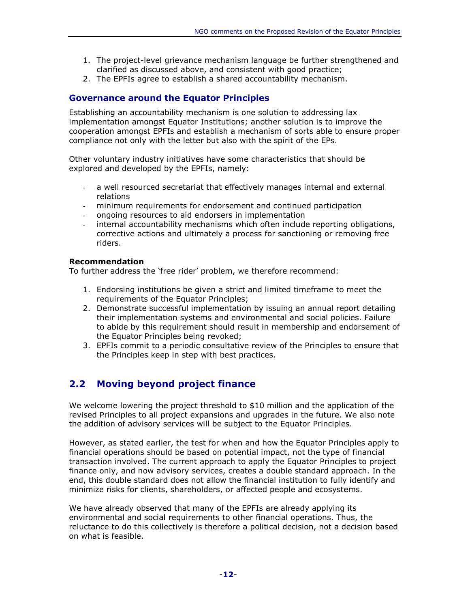- 1. The project-level grievance mechanism language be further strengthened and clarified as discussed above, and consistent with good practice;
- 2. The EPFIs agree to establish a shared accountability mechanism.

#### Governance around the Equator Principles

Establishing an accountability mechanism is one solution to addressing lax implementation amongst Equator Institutions; another solution is to improve the cooperation amongst EPFIs and establish a mechanism of sorts able to ensure proper compliance not only with the letter but also with the spirit of the EPs.

Other voluntary industry initiatives have some characteristics that should be explored and developed by the EPFIs, namely:

- a well resourced secretariat that effectively manages internal and external relations
- minimum requirements for endorsement and continued participation
- ongoing resources to aid endorsers in implementation
- internal accountability mechanisms which often include reporting obligations, corrective actions and ultimately a process for sanctioning or removing free riders.

#### Recommendation

To further address the 'free rider' problem, we therefore recommend:

- 1. Endorsing institutions be given a strict and limited timeframe to meet the requirements of the Equator Principles;
- 2. Demonstrate successful implementation by issuing an annual report detailing their implementation systems and environmental and social policies. Failure to abide by this requirement should result in membership and endorsement of the Equator Principles being revoked;
- 3. EPFIs commit to a periodic consultative review of the Principles to ensure that the Principles keep in step with best practices.

### 2.2 Moving beyond project finance

We welcome lowering the project threshold to \$10 million and the application of the revised Principles to all project expansions and upgrades in the future. We also note the addition of advisory services will be subject to the Equator Principles.

However, as stated earlier, the test for when and how the Equator Principles apply to financial operations should be based on potential impact, not the type of financial transaction involved. The current approach to apply the Equator Principles to project finance only, and now advisory services, creates a double standard approach. In the end, this double standard does not allow the financial institution to fully identify and minimize risks for clients, shareholders, or affected people and ecosystems.

We have already observed that many of the EPFIs are already applying its environmental and social requirements to other financial operations. Thus, the reluctance to do this collectively is therefore a political decision, not a decision based on what is feasible.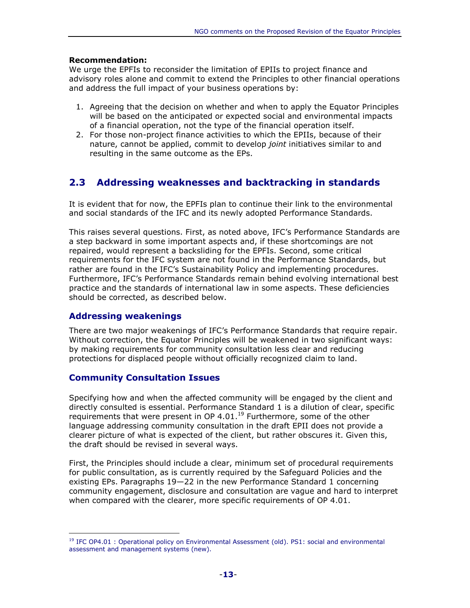#### Recommendation:

We urge the EPFIs to reconsider the limitation of EPIIs to project finance and advisory roles alone and commit to extend the Principles to other financial operations and address the full impact of your business operations by:

- 1. Agreeing that the decision on whether and when to apply the Equator Principles will be based on the anticipated or expected social and environmental impacts of a financial operation, not the type of the financial operation itself.
- 2. For those non-project finance activities to which the EPIIs, because of their nature, cannot be applied, commit to develop *joint* initiatives similar to and resulting in the same outcome as the EPs.

### 2.3 Addressing weaknesses and backtracking in standards

It is evident that for now, the EPFIs plan to continue their link to the environmental and social standards of the IFC and its newly adopted Performance Standards.

This raises several questions. First, as noted above, IFC's Performance Standards are a step backward in some important aspects and, if these shortcomings are not repaired, would represent a backsliding for the EPFIs. Second, some critical requirements for the IFC system are not found in the Performance Standards, but rather are found in the IFC's Sustainability Policy and implementing procedures. Furthermore, IFC's Performance Standards remain behind evolving international best practice and the standards of international law in some aspects. These deficiencies should be corrected, as described below.

#### Addressing weakenings

l.

There are two major weakenings of IFC's Performance Standards that require repair. Without correction, the Equator Principles will be weakened in two significant ways: by making requirements for community consultation less clear and reducing protections for displaced people without officially recognized claim to land.

#### Community Consultation Issues

Specifying how and when the affected community will be engaged by the client and directly consulted is essential. Performance Standard 1 is a dilution of clear, specific requirements that were present in OP 4.01. $^{19}$  Furthermore, some of the other language addressing community consultation in the draft EPII does not provide a clearer picture of what is expected of the client, but rather obscures it. Given this, the draft should be revised in several ways.

First, the Principles should include a clear, minimum set of procedural requirements for public consultation, as is currently required by the Safeguard Policies and the existing EPs. Paragraphs 19—22 in the new Performance Standard 1 concerning community engagement, disclosure and consultation are vague and hard to interpret when compared with the clearer, more specific requirements of OP 4.01.

<sup>&</sup>lt;sup>19</sup> IFC OP4.01 : Operational policy on Environmental Assessment (old). PS1: social and environmental assessment and management systems (new).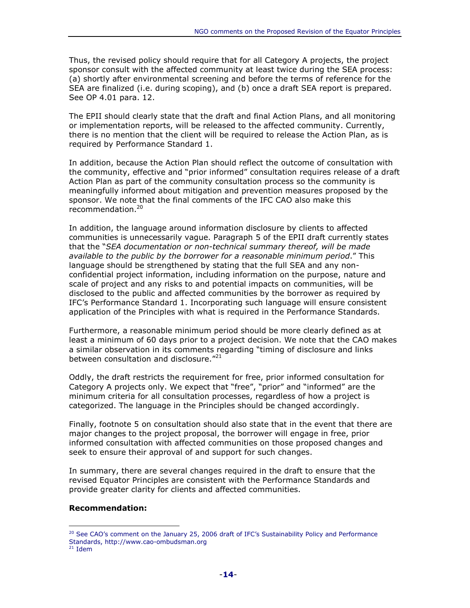Thus, the revised policy should require that for all Category A projects, the project sponsor consult with the affected community at least twice during the SEA process: (a) shortly after environmental screening and before the terms of reference for the SEA are finalized (i.e. during scoping), and (b) once a draft SEA report is prepared. See OP 4.01 para. 12.

The EPII should clearly state that the draft and final Action Plans, and all monitoring or implementation reports, will be released to the affected community. Currently, there is no mention that the client will be required to release the Action Plan, as is required by Performance Standard 1.

In addition, because the Action Plan should reflect the outcome of consultation with the community, effective and "prior informed" consultation requires release of a draft Action Plan as part of the community consultation process so the community is meaningfully informed about mitigation and prevention measures proposed by the sponsor. We note that the final comments of the IFC CAO also make this recommendation.<sup>20</sup>

In addition, the language around information disclosure by clients to affected communities is unnecessarily vague. Paragraph 5 of the EPII draft currently states that the "SEA documentation or non-technical summary thereof, will be made available to the public by the borrower for a reasonable minimum period." This language should be strengthened by stating that the full SEA and any nonconfidential project information, including information on the purpose, nature and scale of project and any risks to and potential impacts on communities, will be disclosed to the public and affected communities by the borrower as required by IFC's Performance Standard 1. Incorporating such language will ensure consistent application of the Principles with what is required in the Performance Standards.

Furthermore, a reasonable minimum period should be more clearly defined as at least a minimum of 60 days prior to a project decision. We note that the CAO makes a similar observation in its comments regarding "timing of disclosure and links between consultation and disclosure."<sup>21</sup>

Oddly, the draft restricts the requirement for free, prior informed consultation for Category A projects only. We expect that "free", "prior" and "informed" are the minimum criteria for all consultation processes, regardless of how a project is categorized. The language in the Principles should be changed accordingly.

Finally, footnote 5 on consultation should also state that in the event that there are major changes to the project proposal, the borrower will engage in free, prior informed consultation with affected communities on those proposed changes and seek to ensure their approval of and support for such changes.

In summary, there are several changes required in the draft to ensure that the revised Equator Principles are consistent with the Performance Standards and provide greater clarity for clients and affected communities.

#### Recommendation:

 $20$  See CAO's comment on the January 25, 2006 draft of IFC's Sustainability Policy and Performance Standards, http://www.cao-ombudsman.org

 $21$  Idem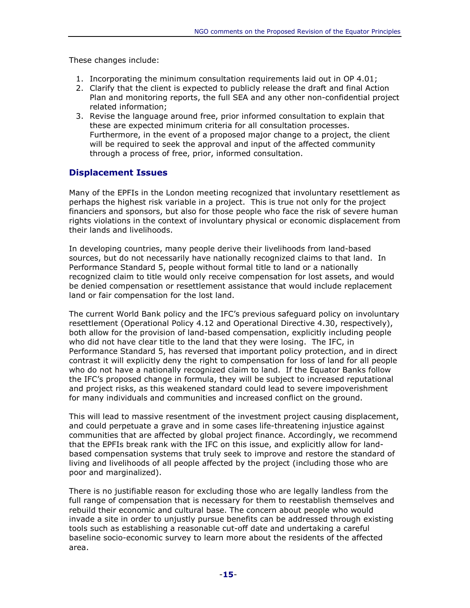These changes include:

- 1. Incorporating the minimum consultation requirements laid out in OP 4.01;
- 2. Clarify that the client is expected to publicly release the draft and final Action Plan and monitoring reports, the full SEA and any other non-confidential project related information;
- 3. Revise the language around free, prior informed consultation to explain that these are expected minimum criteria for all consultation processes. Furthermore, in the event of a proposed major change to a project, the client will be required to seek the approval and input of the affected community through a process of free, prior, informed consultation.

#### Displacement Issues

Many of the EPFIs in the London meeting recognized that involuntary resettlement as perhaps the highest risk variable in a project. This is true not only for the project financiers and sponsors, but also for those people who face the risk of severe human rights violations in the context of involuntary physical or economic displacement from their lands and livelihoods.

In developing countries, many people derive their livelihoods from land-based sources, but do not necessarily have nationally recognized claims to that land. In Performance Standard 5, people without formal title to land or a nationally recognized claim to title would only receive compensation for lost assets, and would be denied compensation or resettlement assistance that would include replacement land or fair compensation for the lost land.

The current World Bank policy and the IFC's previous safeguard policy on involuntary resettlement (Operational Policy 4.12 and Operational Directive 4.30, respectively), both allow for the provision of land-based compensation, explicitly including people who did not have clear title to the land that they were losing. The IFC, in Performance Standard 5, has reversed that important policy protection, and in direct contrast it will explicitly deny the right to compensation for loss of land for all people who do not have a nationally recognized claim to land. If the Equator Banks follow the IFC's proposed change in formula, they will be subject to increased reputational and project risks, as this weakened standard could lead to severe impoverishment for many individuals and communities and increased conflict on the ground.

This will lead to massive resentment of the investment project causing displacement, and could perpetuate a grave and in some cases life-threatening injustice against communities that are affected by global project finance. Accordingly, we recommend that the EPFIs break rank with the IFC on this issue, and explicitly allow for landbased compensation systems that truly seek to improve and restore the standard of living and livelihoods of all people affected by the project (including those who are poor and marginalized).

There is no justifiable reason for excluding those who are legally landless from the full range of compensation that is necessary for them to reestablish themselves and rebuild their economic and cultural base. The concern about people who would invade a site in order to unjustly pursue benefits can be addressed through existing tools such as establishing a reasonable cut-off date and undertaking a careful baseline socio-economic survey to learn more about the residents of the affected area.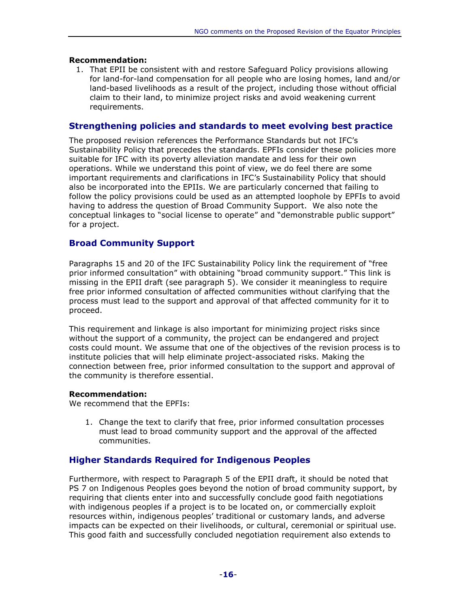#### Recommendation:

1. That EPII be consistent with and restore Safeguard Policy provisions allowing for land-for-land compensation for all people who are losing homes, land and/or land-based livelihoods as a result of the project, including those without official claim to their land, to minimize project risks and avoid weakening current requirements.

#### Strengthening policies and standards to meet evolving best practice

The proposed revision references the Performance Standards but not IFC's Sustainability Policy that precedes the standards. EPFIs consider these policies more suitable for IFC with its poverty alleviation mandate and less for their own operations. While we understand this point of view, we do feel there are some important requirements and clarifications in IFC's Sustainability Policy that should also be incorporated into the EPIIs. We are particularly concerned that failing to follow the policy provisions could be used as an attempted loophole by EPFIs to avoid having to address the question of Broad Community Support. We also note the conceptual linkages to "social license to operate" and "demonstrable public support" for a project.

#### Broad Community Support

Paragraphs 15 and 20 of the IFC Sustainability Policy link the requirement of "free prior informed consultation" with obtaining "broad community support." This link is missing in the EPII draft (see paragraph 5). We consider it meaningless to require free prior informed consultation of affected communities without clarifying that the process must lead to the support and approval of that affected community for it to proceed.

This requirement and linkage is also important for minimizing project risks since without the support of a community, the project can be endangered and project costs could mount. We assume that one of the objectives of the revision process is to institute policies that will help eliminate project-associated risks. Making the connection between free, prior informed consultation to the support and approval of the community is therefore essential.

#### Recommendation:

We recommend that the EPFIs:

1. Change the text to clarify that free, prior informed consultation processes must lead to broad community support and the approval of the affected communities.

#### Higher Standards Required for Indigenous Peoples

Furthermore, with respect to Paragraph 5 of the EPII draft, it should be noted that PS 7 on Indigenous Peoples goes beyond the notion of broad community support, by requiring that clients enter into and successfully conclude good faith negotiations with indigenous peoples if a project is to be located on, or commercially exploit resources within, indigenous peoples' traditional or customary lands, and adverse impacts can be expected on their livelihoods, or cultural, ceremonial or spiritual use. This good faith and successfully concluded negotiation requirement also extends to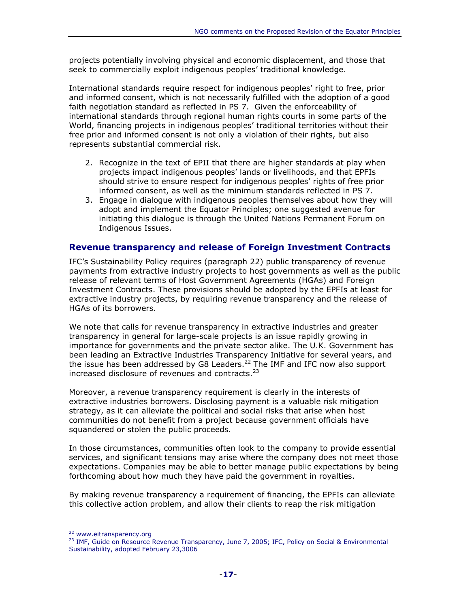projects potentially involving physical and economic displacement, and those that seek to commercially exploit indigenous peoples' traditional knowledge.

International standards require respect for indigenous peoples' right to free, prior and informed consent, which is not necessarily fulfilled with the adoption of a good faith negotiation standard as reflected in PS 7. Given the enforceability of international standards through regional human rights courts in some parts of the World, financing projects in indigenous peoples' traditional territories without their free prior and informed consent is not only a violation of their rights, but also represents substantial commercial risk.

- 2. Recognize in the text of EPII that there are higher standards at play when projects impact indigenous peoples' lands or livelihoods, and that EPFIs should strive to ensure respect for indigenous peoples' rights of free prior informed consent, as well as the minimum standards reflected in PS 7.
- 3. Engage in dialogue with indigenous peoples themselves about how they will adopt and implement the Equator Principles; one suggested avenue for initiating this dialogue is through the United Nations Permanent Forum on Indigenous Issues.

#### Revenue transparency and release of Foreign Investment Contracts

IFC's Sustainability Policy requires (paragraph 22) public transparency of revenue payments from extractive industry projects to host governments as well as the public release of relevant terms of Host Government Agreements (HGAs) and Foreign Investment Contracts. These provisions should be adopted by the EPFIs at least for extractive industry projects, by requiring revenue transparency and the release of HGAs of its borrowers.

We note that calls for revenue transparency in extractive industries and greater transparency in general for large-scale projects is an issue rapidly growing in importance for governments and the private sector alike. The U.K. Government has been leading an Extractive Industries Transparency Initiative for several years, and the issue has been addressed by G8 Leaders.<sup>22</sup> The IMF and IFC now also support increased disclosure of revenues and contracts.<sup>23</sup>

Moreover, a revenue transparency requirement is clearly in the interests of extractive industries borrowers. Disclosing payment is a valuable risk mitigation strategy, as it can alleviate the political and social risks that arise when host communities do not benefit from a project because government officials have squandered or stolen the public proceeds.

In those circumstances, communities often look to the company to provide essential services, and significant tensions may arise where the company does not meet those expectations. Companies may be able to better manage public expectations by being forthcoming about how much they have paid the government in royalties.

By making revenue transparency a requirement of financing, the EPFIs can alleviate this collective action problem, and allow their clients to reap the risk mitigation

<sup>22</sup> www.eitransparency.org

<sup>23</sup> IMF, Guide on Resource Revenue Transparency, June 7, 2005; IFC, Policy on Social & Environmental Sustainability, adopted February 23,3006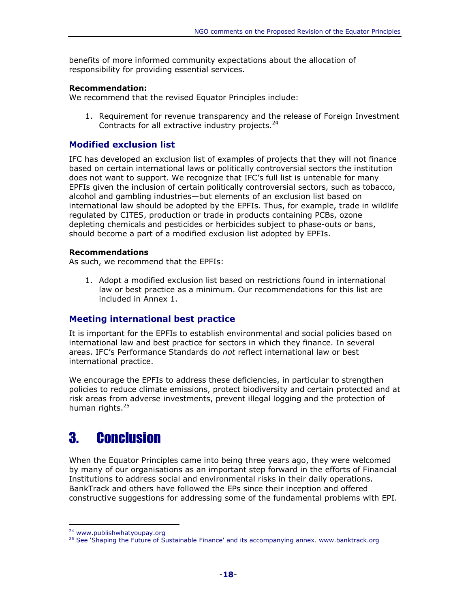benefits of more informed community expectations about the allocation of responsibility for providing essential services.

#### Recommendation:

We recommend that the revised Equator Principles include:

1. Requirement for revenue transparency and the release of Foreign Investment Contracts for all extractive industry projects.<sup>24</sup>

#### Modified exclusion list

IFC has developed an exclusion list of examples of projects that they will not finance based on certain international laws or politically controversial sectors the institution does not want to support. We recognize that IFC's full list is untenable for many EPFIs given the inclusion of certain politically controversial sectors, such as tobacco, alcohol and gambling industries—but elements of an exclusion list based on international law should be adopted by the EPFIs. Thus, for example, trade in wildlife regulated by CITES, production or trade in products containing PCBs, ozone depleting chemicals and pesticides or herbicides subject to phase-outs or bans, should become a part of a modified exclusion list adopted by EPFIs.

#### Recommendations

As such, we recommend that the EPFIs:

1. Adopt a modified exclusion list based on restrictions found in international law or best practice as a minimum. Our recommendations for this list are included in Annex 1.

#### Meeting international best practice

It is important for the EPFIs to establish environmental and social policies based on international law and best practice for sectors in which they finance. In several areas. IFC's Performance Standards do not reflect international law or best international practice.

We encourage the EPFIs to address these deficiencies, in particular to strengthen policies to reduce climate emissions, protect biodiversity and certain protected and at risk areas from adverse investments, prevent illegal logging and the protection of human rights.<sup>25</sup>

# 3. Conclusion

When the Equator Principles came into being three years ago, they were welcomed by many of our organisations as an important step forward in the efforts of Financial Institutions to address social and environmental risks in their daily operations. BankTrack and others have followed the EPs since their inception and offered constructive suggestions for addressing some of the fundamental problems with EPI.

<sup>24</sup> www.publishwhatyoupay.org

<sup>&</sup>lt;sup>25</sup> See 'Shaping the Future of Sustainable Finance' and its accompanying annex. www.banktrack.org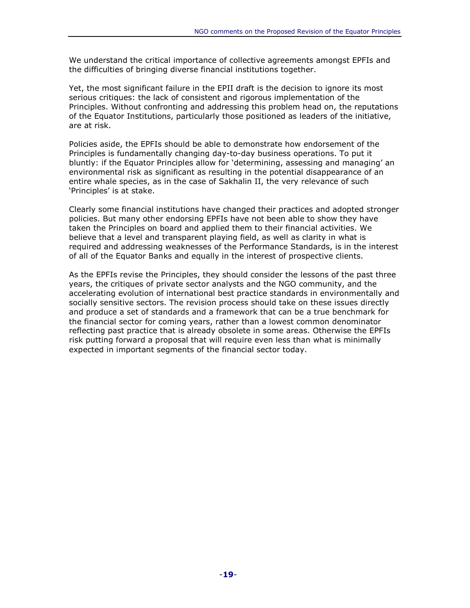We understand the critical importance of collective agreements amongst EPFIs and the difficulties of bringing diverse financial institutions together.

Yet, the most significant failure in the EPII draft is the decision to ignore its most serious critiques: the lack of consistent and rigorous implementation of the Principles. Without confronting and addressing this problem head on, the reputations of the Equator Institutions, particularly those positioned as leaders of the initiative, are at risk.

Policies aside, the EPFIs should be able to demonstrate how endorsement of the Principles is fundamentally changing day-to-day business operations. To put it bluntly: if the Equator Principles allow for 'determining, assessing and managing' an environmental risk as significant as resulting in the potential disappearance of an entire whale species, as in the case of Sakhalin II, the very relevance of such 'Principles' is at stake.

Clearly some financial institutions have changed their practices and adopted stronger policies. But many other endorsing EPFIs have not been able to show they have taken the Principles on board and applied them to their financial activities. We believe that a level and transparent playing field, as well as clarity in what is required and addressing weaknesses of the Performance Standards, is in the interest of all of the Equator Banks and equally in the interest of prospective clients.

As the EPFIs revise the Principles, they should consider the lessons of the past three years, the critiques of private sector analysts and the NGO community, and the accelerating evolution of international best practice standards in environmentally and socially sensitive sectors. The revision process should take on these issues directly and produce a set of standards and a framework that can be a true benchmark for the financial sector for coming years, rather than a lowest common denominator reflecting past practice that is already obsolete in some areas. Otherwise the EPFIs risk putting forward a proposal that will require even less than what is minimally expected in important segments of the financial sector today.